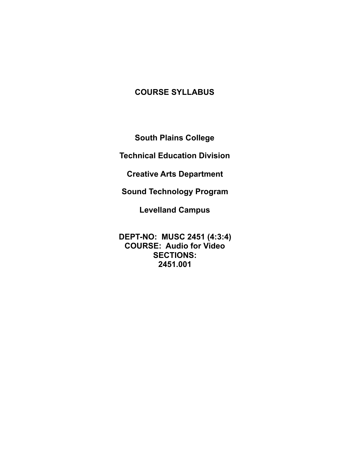# **COURSE SYLLABUS**

**South Plains College** 

**Technical Education Division** 

**Creative Arts Department** 

**Sound Technology Program** 

**Levelland Campus** 

**DEPT-NO: MUSC 2451 (4:3:4) COURSE: Audio for Video SECTIONS: 2451.001**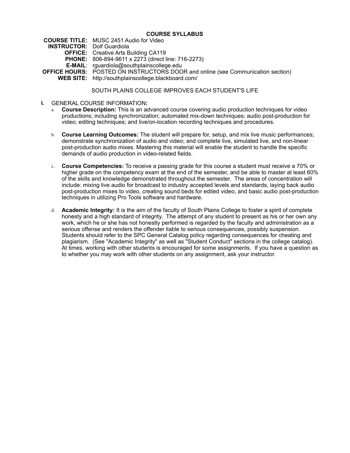## **COURSE SYLLABUS**

**COURSE TITLE:** MUSC 2451 Audio for Video **INSTRUCTOR:** Dolf Guardiola **OFFICE:** Creative Arts Building CA119 **PHONE:** 806-894-9611 x 2273 (direct line: 716-2273) **E-MAIL**: rguardiola@southplainscollege.edu **OFFICE HOURS:** POSTED ON INSTRUCTORS DOOR and online (see Communication section) **WEB SITE:** http://southplainscollege.blackboard.com/

# SOUTH PLAINS COLLEGE IMPROVES EACH STUDENT'S LIFE

- **I.** GENERAL COURSE INFORMATION**:** 
	- a. **Course Description:** This is an advanced course covering audio production techniques for video productions; including synchronization; automated mix-down techniques; audio post-production for video; editing techniques; and live/on-location recording techniques and procedures.
	- b. **Course Learning Outcomes:** The student will prepare for, setup, and mix live music performances; demonstrate synchronization of audio and video; and complete live, simulated live, and non-linear post-production audio mixes. Mastering this material will enable the student to handle the specific demands of audio production in video-related fields.
	- c. **Course Competencies:** To receive a passing grade for this course a student must receive a 70% or higher grade on the competency exam at the end of the semester, and be able to master at least 60% of the skills and knowledge demonstrated throughout the semester. The areas of concentration will include: mixing live audio for broadcast to industry accepted levels and standards, laying back audio post-production mixes to video, creating sound beds for edited video, and basic audio post-production techniques in utilizing Pro Tools software and hardware.
	- d. **Academic Integrity:** It is the aim of the faculty of South Plains College to foster a spirit of complete honesty and a high standard of integrity. The attempt of any student to present as his or her own any work, which he or she has not honestly performed is regarded by the faculty and administration as a serious offense and renders the offender liable to serious consequences, possibly suspension. Students should refer to the SPC General Catalog policy regarding consequences for cheating and plagiarism. (See "Academic Integrity" as well as "Student Conduct" sections in the college catalog). At times, working with other students is encouraged for some assignments. If you have a question as to whether you may work with other students on any assignment, ask your instructor.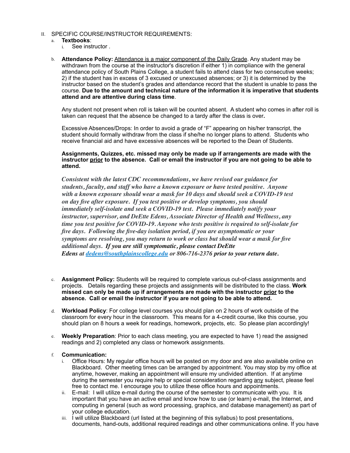- II. SPECIFIC COURSE/INSTRUCTOR REQUIREMENTS:
	- a. **Textbooks**:
		- i. See instructor .
	- b. **Attendance Policy:** Attendance is a major component of the Daily Grade. Any student may be withdrawn from the course at the instructor's discretion if either 1) in compliance with the general attendance policy of South Plains College, a student fails to attend class for two consecutive weeks; 2) if the student has in excess of 3 excused or unexcused absences; or 3) it is determined by the instructor based on the student's grades and attendance record that the student is unable to pass the course. **Due to the amount and technical nature of the information it is imperative that students attend and are attentive during class time**.

Any student not present when roll is taken will be counted absent. A student who comes in after roll is taken can request that the absence be changed to a tardy after the class is over**.**

Excessive Absences/Drops: In order to avoid a grade of "F" appearing on his/her transcript, the student should formally withdraw from the class if she/he no longer plans to attend. Students who receive financial aid and have excessive absences will be reported to the Dean of Students.

## **Assignments, Quizzes, etc. missed may only be made up if arrangements are made with the instructor prior to the absence. Call or email the instructor if you are not going to be able to attend.**

*Consistent with the latest CDC recommendations, we have revised our guidance for students, faculty, and staff who have a known exposure or have tested positive. Anyone with a known exposure should wear a mask for 10 days and should seek a COVID-19 test on day five after exposure. If you test positive or develop symptoms, you should immediately self-isolate and seek a COVID-19 test. Please immediately notify your instructor, supervisor, and DeEtte Edens, Associate Director of Health and Wellness, any time you test positive for COVID-19. Anyone who tests positive is required to self-isolate for five days. Following the five-day isolation period, if you are asymptomatic or your symptoms are resolving, you may return to work or class but should wear a mask for five additional days. If you are still symptomatic, please contact DeEtte Edens at [dedens@southplainscollege.edu](mailto:dedens@southplainscollege.edu%22%20%5Ct%20%22_blank) or 806-716-2376 prior to your return date.*

- c. **Assignment Policy:** Students will be required to complete various out-of-class assignments and projects. Details regarding these projects and assignments will be distributed to the class. **Work missed can only be made up if arrangements are made with the instructor prior to the absence. Call or email the instructor if you are not going to be able to attend.**
- d. **Workload Policy**: For college level courses you should plan on 2 hours of work outside of the classroom for every hour in the classroom. This means for a 4-credit course, like this course, you should plan on 8 hours a week for readings, homework, projects, etc. So please plan accordingly!
- e. **Weekly Preparation**: Prior to each class meeting, you are expected to have 1) read the assigned readings and 2) completed any class or homework assignments.

# f. **Communication:**

- Office Hours: My regular office hours will be posted on my door and are also available online on Blackboard. Other meeting times can be arranged by appointment. You may stop by my office at anytime, however, making an appointment will ensure my undivided attention. If at anytime during the semester you require help or special consideration regarding any subject, please feel free to contact me. I encourage you to utilize these office hours and appointments.
- ii. E-mail: I will utilize e-mail during the course of the semester to communicate with you. It is important that you have an active email and know how to use (or learn) e-mail, the Internet, and computing in general (such as word processing, graphics, and database management) as part of your college education.
- iii. I will utilize Blackboard (url listed at the beginning of this syllabus) to post presentations, documents, hand-outs, additional required readings and other communications online. If you have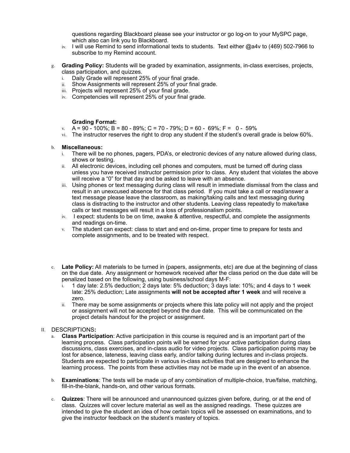questions regarding Blackboard please see your instructor or go log-on to your MySPC page, which also can link you to Blackboard.

- iv. I will use Remind to send informational texts to students. Text either @a4v to (469) 502-7966 to subscribe to my Remind account.
- g. **Grading Policy:** Students will be graded by examination, assignments, in-class exercises, projects, class participation, and quizzes.
	- i. Daily Grade will represent 25% of your final grade.
	- Show Assignments will represent 25% of your final grade.
	- iii. Projects will represent 25% of your final grade.
	- iv. Competencies will represent 25% of your final grade.

## **Grading Format:**

- v.  $A = 90 100\%$ ; B = 80 89%; C = 70 79%; D = 60 69%; F = 0 59%
- vi. The instructor reserves the right to drop any student if the student's overall grade is below 60%.

#### b. **Miscellaneous:**

- i. There will be no phones, pagers, PDA's, or electronic devices of any nature allowed during class, shows or testing.
- ii. All electronic devices, including cell phones and computers, must be turned off during class unless you have received instructor permission prior to class. Any student that violates the above will receive a "0" for that day and be asked to leave with an absence.
- iii. Using phones or text messaging during class will result in immediate dismissal from the class and result in an unexcused absence for that class period. If you must take a call or read/answer a text message please leave the classroom, as making/taking calls and text messaging during class is distracting to the instructor and other students. Leaving class repeatedly to make/take calls or text messages will result in a loss of professionalism points.
- iv. I expect: students to be on time, awake & attentive, respectful, and complete the assignments and readings on-time.
- v. The student can expect: class to start and end on-time, proper time to prepare for tests and complete assignments, and to be treated with respect.
- c. **Late Policy:** All materials to be turned in (papers, assignments, etc) are due at the beginning of class on the due date. Any assignment or homework received after the class period on the due date will be penalized based on the following, using business/school days M-F:
	- i. 1 day late: 2.5% deduction; 2 days late: 5% deduction; 3 days late: 10%; and 4 days to 1 week late: 25% deduction; Late assignments **will not be accepted after 1 week** and will receive a zero.
	- ii. There may be some assignments or projects where this late policy will not apply and the project or assignment will not be accepted beyond the due date. This will be communicated on the project details handout for the project or assignment.

#### II. DESCRIPTIONS**:**

- **Class Participation**: Active participation in this course is required and is an important part of the learning process. Class participation points will be earned for your active participation during class discussions, class exercises, and in-class audio for video projects. Class participation points may be lost for absence, lateness, leaving class early, and/or talking during lectures and in-class projects. Students are expected to participate in various in-class activities that are designed to enhance the learning process. The points from these activities may not be made up in the event of an absence.
- b. **Examinations**: The tests will be made up of any combination of multiple-choice, true/false, matching, fill-in-the-blank, hands-on, and other various formats.
- c. **Quizzes**: There will be announced and unannounced quizzes given before, during, or at the end of class. Quizzes will cover lecture material as well as the assigned readings. These quizzes are intended to give the student an idea of how certain topics will be assessed on examinations, and to give the instructor feedback on the student's mastery of topics.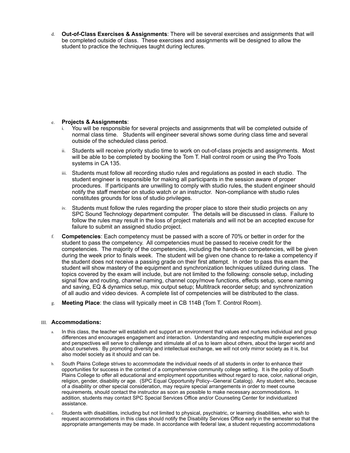d. **Out-of-Class Exercises & Assignments**: There will be several exercises and assignments that will be completed outside of class. These exercises and assignments will be designed to allow the student to practice the techniques taught during lectures.

# e. **Projects & Assignments**:

- i. You will be responsible for several projects and assignments that will be completed outside of normal class time. Students will engineer several shows some during class time and several outside of the scheduled class period.
- ii. Students will receive priority studio time to work on out-of-class projects and assignments. Most will be able to be completed by booking the Tom T. Hall control room or using the Pro Tools systems in CA 135.
- iii. Students must follow all recording studio rules and regulations as posted in each studio. The student engineer is responsible for making all participants in the session aware of proper procedures. If participants are unwilling to comply with studio rules, the student engineer should notify the staff member on studio watch or an instructor. Non-compliance with studio rules constitutes grounds for loss of studio privileges.
- iv. Students must follow the rules regarding the proper place to store their studio projects on any SPC Sound Technology department computer. The details will be discussed in class. Failure to follow the rules may result in the loss of project materials and will not be an accepted excuse for failure to submit an assigned studio project.
- f. **Competencies**: Each competency must be passed with a score of 70% or better in order for the student to pass the competency. All competencies must be passed to receive credit for the competencies. The majority of the competencies, including the hands-on competencies, will be given during the week prior to finals week. The student will be given one chance to re-take a competency if the student does not receive a passing grade on their first attempt. In order to pass this exam the student will show mastery of the equipment and synchronization techniques utilized during class. The topics covered by the exam will include, but are not limited to the following: console setup, including signal flow and routing, channel naming, channel copy/move functions, effects setup, scene naming and saving, EQ & dynamics setup, mix output setup; Multitrack recorder setup; and synchronization of all audio and video devices. A complete list of competencies will be distributed to the class.
- g. **Meeting Place**: the class will typically meet in CB 114B (Tom T. Control Room).

# III. **Accommodations:**

- In this class, the teacher will establish and support an environment that values and nurtures individual and group differences and encourages engagement and interaction. Understanding and respecting multiple experiences and perspectives will serve to challenge and stimulate all of us to learn about others, about the larger world and about ourselves. By promoting diversity and intellectual exchange, we will not only mirror society as it is, but also model society as it should and can be.
- b. South Plains College strives to accommodate the individual needs of all students in order to enhance their opportunities for success in the context of a comprehensive community college setting. It is the policy of South Plains College to offer all educational and employment opportunities without regard to race, color, national origin, religion, gender, disability or age. (SPC Equal Opportunity Policy--General Catalog). Any student who, because of a disability or other special consideration, may require special arrangements in order to meet course requirements, should contact the instructor as soon as possible to make necessary accommodations. In addition, students may contact SPC Special Services Office and/or Counseling Center for individualized assistance.
- c. Students with disabilities, including but not limited to physical, psychiatric, or learning disabilities, who wish to request accommodations in this class should notify the Disability Services Office early in the semester so that the appropriate arrangements may be made. In accordance with federal law, a student requesting accommodations